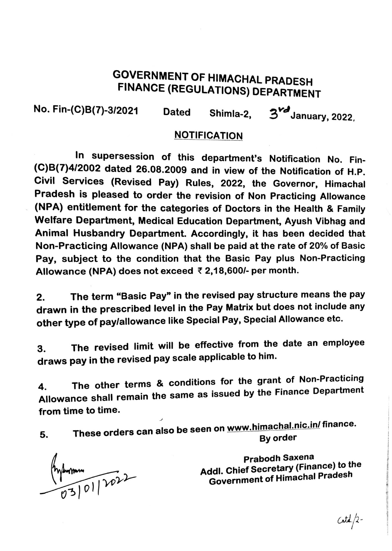## GOVERNMENT OF HIMACHAL PRADESH FINANCE (REGULATIONS) DEPARTMENT

No. Fin-(C)8(7)-3/2021 Dated Shimla-2, *"'-'2 <sup>Y</sup> J*   $3^{\nu d}$ January, 2022,

## NOTIFICATION

In supersession of this department's Notification No. Fin- (C)8(7)4/2002 dated 26.08.2009 and in view of the Notification of H.P. Civil Services (Revised Pay) Rules, 2022, the Governor, Himachal Pradesh is pleased to order the revision of Non Practicing Allowance (NPA) entitlement for the categories of Doctors in the Health & Family Welfare Department, Medical Education Department, Ayush Vibhag and Animal Husbandry Department. Accordingly, it has been decided that Non-Practicing Allowance (NPA) shall be paid at the rate of 20% of Basic Pay, subject to the condition that the Basic Pay plus Non-Practicing Allowance (NPA) does not exceed ₹ 2,18,600/- per month.

2. The term "Basic Pay" in the revised pay structure means the pay drawn in the prescribed level in the Pay Matrix but does not include any other type of pay/allowance like Special Pay, Special Allowance etc.

3. The revised limit will be effective from the date an employee draws pay in the revised pay scale applicable to him.

4. The other terms & conditions for the grant of Non-Practicing Allowance shall remain the same as issued by the Finance Department from time to time.

5. These orders can also be seen on www.himachal.nic.in/ finance.<br>By order

Prysmann<br>03/01/2022

Prabodh Saxena Addl. Chief Secretary (Finance) to the Government of Himachal Pradesh

 $Catd/2-$ 

i

*STRACTOROLLES*